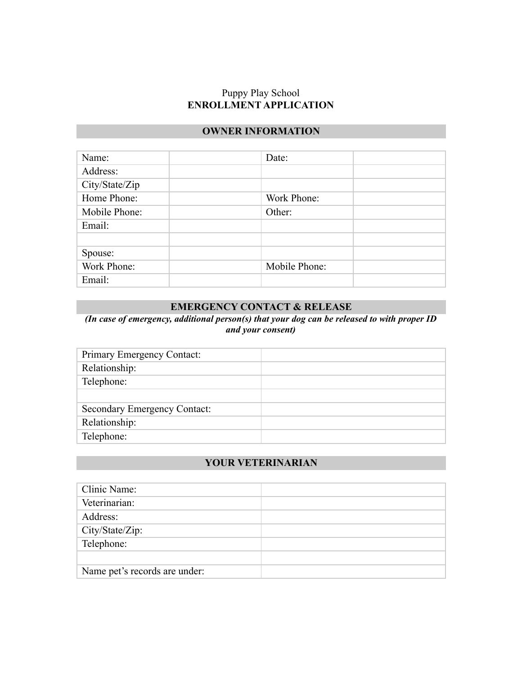#### Puppy Play School **ENROLLMENT APPLICATION**

## **OWNER INFORMATION**

| Name:          | Date:         |  |
|----------------|---------------|--|
| Address:       |               |  |
| City/State/Zip |               |  |
| Home Phone:    | Work Phone:   |  |
| Mobile Phone:  | Other:        |  |
| Email:         |               |  |
|                |               |  |
| Spouse:        |               |  |
| Work Phone:    | Mobile Phone: |  |
| Email:         |               |  |

# **EMERGENCY CONTACT & RELEASE**

*(In case of emergency, additional person(s) that your dog can be released to with proper ID and your consent)*

| Primary Emergency Contact:          |  |
|-------------------------------------|--|
| Relationship:                       |  |
| Telephone:                          |  |
|                                     |  |
| <b>Secondary Emergency Contact:</b> |  |
| Relationship:                       |  |
| Telephone:                          |  |

#### **YOUR VETERINARIAN**

| Clinic Name:                  |  |
|-------------------------------|--|
| Veterinarian:                 |  |
| Address:                      |  |
| City/State/Zip:               |  |
| Telephone:                    |  |
|                               |  |
| Name pet's records are under: |  |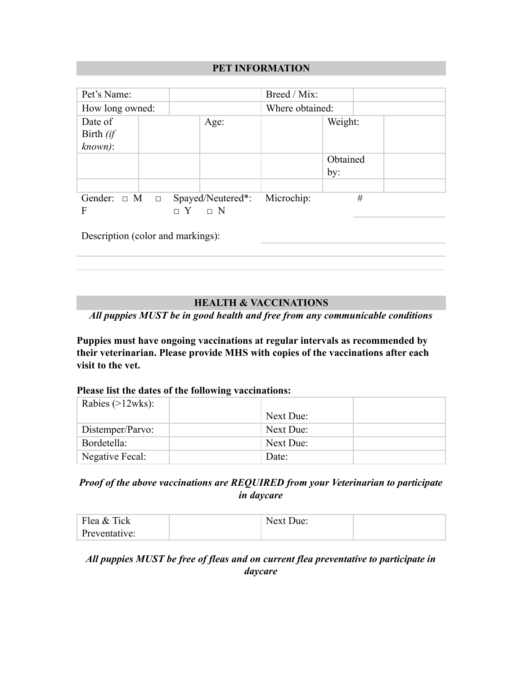## **PET INFORMATION**

| Pet's Name:                               |  |            | Breed / Mix:    |          |   |
|-------------------------------------------|--|------------|-----------------|----------|---|
| How long owned:                           |  |            | Where obtained: |          |   |
| Date of                                   |  | Age:       |                 | Weight:  |   |
| Birth (if                                 |  |            |                 |          |   |
| known):                                   |  |            |                 |          |   |
|                                           |  |            |                 | Obtained |   |
|                                           |  |            |                 | by:      |   |
|                                           |  |            |                 |          |   |
| Gender: $\Box$ M $\Box$ Spayed/Neutered*: |  |            | Microchip:      |          | # |
| F                                         |  | $\sqcap$ N |                 |          |   |

Description (color and markings):

# **HEALTH & VACCINATIONS**

*All puppies MUST be in good health and free from any communicable conditions*

**Puppies must have ongoing vaccinations at regular intervals as recommended by their veterinarian. Please provide MHS with copies of the vaccinations after each visit to the vet.**

#### **Please list the dates of the following vaccinations:**

| Rabies $(>12wks)$ : |           |  |
|---------------------|-----------|--|
|                     | Next Due: |  |
| Distemper/Parvo:    | Next Due: |  |
| Bordetella:         | Next Due: |  |
| Negative Fecal:     | Date:     |  |

# *Proof of the above vaccinations are REQUIRED from your Veterinarian to participate in daycare*

| Flea & Tick   | Next Due: |  |
|---------------|-----------|--|
| Preventative: |           |  |

# *All puppies MUST be free of fleas and on current flea preventative to participate in daycare*